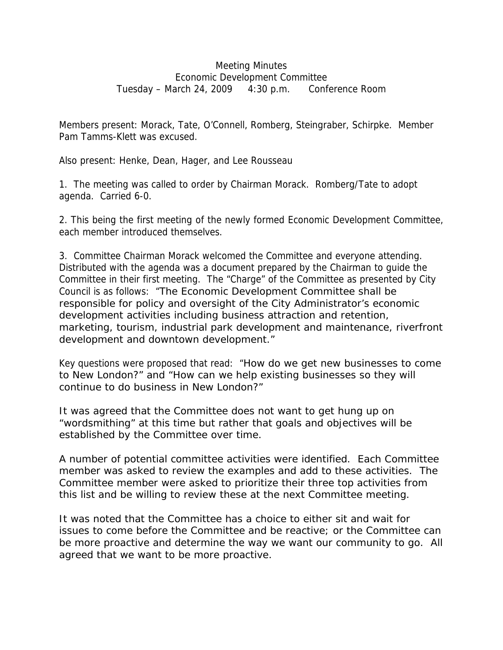## Meeting Minutes Economic Development Committee Tuesday – March 24, 2009 4:30 p.m. Conference Room

Members present: Morack, Tate, O'Connell, Romberg, Steingraber, Schirpke. Member Pam Tamms-Klett was excused.

Also present: Henke, Dean, Hager, and Lee Rousseau

1. The meeting was called to order by Chairman Morack. Romberg/Tate to adopt agenda. Carried 6-0.

2. This being the first meeting of the newly formed Economic Development Committee, each member introduced themselves.

3. Committee Chairman Morack welcomed the Committee and everyone attending. Distributed with the agenda was a document prepared by the Chairman to guide the Committee in their first meeting. The "Charge" of the Committee as presented by City Council is as follows: "The Economic Development Committee shall be responsible for policy and oversight of the City Administrator's economic development activities including business attraction and retention, marketing, tourism, industrial park development and maintenance, riverfront development and downtown development."

Key questions were proposed that read: "How do we get new businesses to come to New London?" and "How can we help existing businesses so they will continue to do business in New London?"

It was agreed that the Committee does not want to get hung up on "wordsmithing" at this time but rather that goals and objectives will be established by the Committee over time.

A number of potential committee activities were identified. Each Committee member was asked to review the examples and add to these activities. The Committee member were asked to prioritize their three top activities from this list and be willing to review these at the next Committee meeting.

It was noted that the Committee has a choice to either sit and wait for issues to come before the Committee and be reactive; or the Committee can be more proactive and determine the way we want our community to go. All agreed that we want to be more proactive.